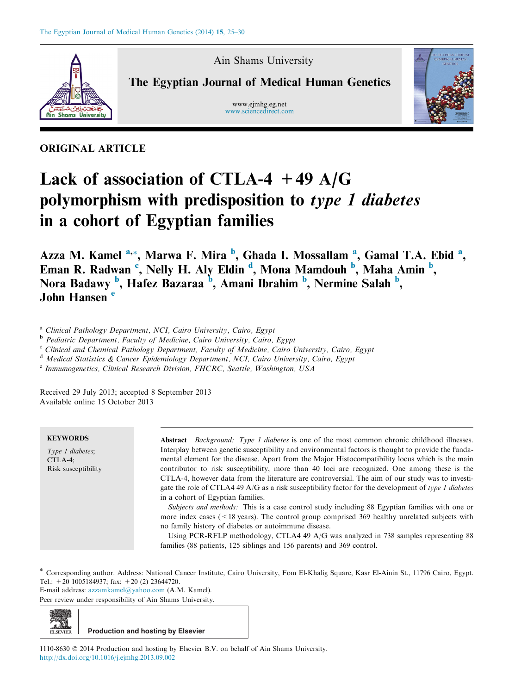

Ain Shams University

The Egyptian Journal of Medical Human Genetics

www.ejmhg.eg.net [www.sciencedirect.com](http://www.sciencedirect.com/science/journal/11108630)



ORIGINAL ARTICLE

# Lack of association of CTLA-4  $+49$  A/G polymorphism with predisposition to type 1 diabetes in a cohort of Egyptian families

Azza M. Kamel <sup>a,</sup>\*, Marwa F. Mira <sup>b</sup>, Ghada I. Mossallam <sup>a</sup>, Gamal T.A. Ebid <sup>a</sup>, Eman R. Radwan<sup>c</sup>, Nelly H. Aly Eldin<sup>d</sup>, Mona Mamdouh<sup>b</sup>, Maha Amin<sup>b</sup>, Nora Badawy <sup>b</sup>, Hafez Bazaraa <sup>b</sup>, Amani Ibrahim <sup>b</sup>, Nermine Salah <sup>b</sup>, John Hansen<sup>e</sup>

<sup>a</sup> Clinical Pathology Department, NCI, Cairo University, Cairo, Egypt

<sup>b</sup> Pediatric Department, Faculty of Medicine, Cairo University, Cairo, Egypt

<sup>c</sup> Clinical and Chemical Pathology Department, Faculty of Medicine, Cairo University, Cairo, Egypt

<sup>d</sup> Medical Statistics & Cancer Epidemiology Department, NCI, Cairo University, Cairo, Egypt

<sup>e</sup> Immunogenetics, Clinical Research Division, FHCRC, Seattle, Washington, USA

Received 29 July 2013; accepted 8 September 2013 Available online 15 October 2013

| <b>KEYWORDS</b>     | <b>Abstract</b> <i>Background: Type 1 diabetes</i> is one of the most common chronic childhood illnesses. |
|---------------------|-----------------------------------------------------------------------------------------------------------|
| Type 1 diabetes;    | Interplay between genetic susceptibility and environmental factors is thought to provide the funda-       |
| $CTLA-4$ :          | mental element for the disease. Apart from the Major Histocompatibility locus which is the main           |
| Risk susceptibility | contributor to risk susceptibility, more than 40 loci are recognized. One among these is the              |
|                     | CTLA-4, however data from the literature are controversial. The aim of our study was to investi-          |
|                     | gate the role of CTLA4 49 A/G as a risk susceptibility factor for the development of type 1 diabetes      |
|                     | in a cohort of Egyptian families.                                                                         |
|                     | <i>Subjects and methods:</i> This is a case control study including 88 Egyptian families with one or      |
|                     | more index cases $($ < 18 years). The control group comprised 369 healthy unrelated subjects with         |
|                     | no family history of diabetes or autoimmune disease.                                                      |
|                     | Using PCR-RFLP methodology, CTLA4 49 A/G was analyzed in 738 samples representing 88                      |
|                     | families (88 patients, 125 siblings and 156 parents) and 369 control.                                     |

\* Corresponding author. Address: National Cancer Institute, Cairo University, Fom El-Khalig Square, Kasr El-Ainin St., 11796 Cairo, Egypt. Tel.:  $\pm 20$  1005184937; fax:  $\pm 20$  (2) 23644720.

E-mail address: [azzamkamel@yahoo.com](mailto:azzamkamel@yahoo.com) (A.M. Kamel).

Peer review under responsibility of Ain Shams University.



1110-8630  $\odot$  2014 Production and hosting by Elsevier B.V. on behalf of Ain Shams University. <http://dx.doi.org/10.1016/j.ejmhg.2013.09.002>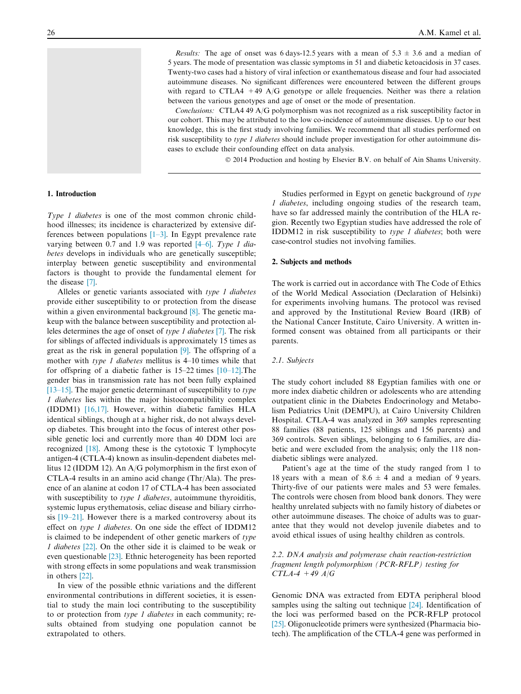*Results:* The age of onset was 6 days-12.5 years with a mean of 5.3  $\pm$  3.6 and a median of 5 years. The mode of presentation was classic symptoms in 51 and diabetic ketoacidosis in 37 cases. Twenty-two cases had a history of viral infection or exanthematous disease and four had associated autoimmune diseases. No significant differences were encountered between the different groups with regard to CTLA4 +49 A/G genotype or allele frequencies. Neither was there a relation between the various genotypes and age of onset or the mode of presentation.

Conclusions: CTLA4 49 A/G polymorphism was not recognized as a risk susceptibility factor in our cohort. This may be attributed to the low co-incidence of autoimmune diseases. Up to our best knowledge, this is the first study involving families. We recommend that all studies performed on risk susceptibility to type 1 diabetes should include proper investigation for other autoimmune diseases to exclude their confounding effect on data analysis.

© 2014 Production and hosting by Elsevier B.V. on behalf of Ain Shams University.

#### 1. Introduction

Type 1 diabetes is one of the most common chronic childhood illnesses; its incidence is characterized by extensive differences between populations [\[1–3\].](#page-3-0) In Egypt prevalence rate varying between 0.7 and 1.9 was reported  $[4–6]$ . Type 1 diabetes develops in individuals who are genetically susceptible; interplay between genetic susceptibility and environmental factors is thought to provide the fundamental element for the disease [\[7\].](#page-4-0)

Alleles or genetic variants associated with type 1 diabetes provide either susceptibility to or protection from the disease within a given environmental background [\[8\]](#page-4-0). The genetic makeup with the balance between susceptibility and protection alleles determines the age of onset of type 1 diabetes [\[7\]](#page-4-0). The risk for siblings of affected individuals is approximately 15 times as great as the risk in general population [\[9\].](#page-4-0) The offspring of a mother with type 1 diabetes mellitus is  $4-10$  times while that for offspring of a diabetic father is 15–22 times [\[10–12\].](#page-4-0)The gender bias in transmission rate has not been fully explained [\[13–15\]](#page-4-0). The major genetic determinant of susceptibility to type 1 diabetes lies within the major histocompatibility complex (IDDM1) [\[16,17\]](#page-4-0). However, within diabetic families HLA identical siblings, though at a higher risk, do not always develop diabetes. This brought into the focus of interest other possible genetic loci and currently more than 40 DDM loci are recognized [\[18\]](#page-4-0). Among these is the cytotoxic T lymphocyte antigen-4 (CTLA-4) known as insulin-dependent diabetes mellitus 12 (IDDM 12). An A/G polymorphism in the first exon of CTLA-4 results in an amino acid change (Thr/Ala). The presence of an alanine at codon 17 of CTLA-4 has been associated with susceptibility to type 1 diabetes, autoimmune thyroiditis, systemic lupus erythematosis, celiac disease and biliary cirrhosis [\[19–21\].](#page-4-0) However there is a marked controversy about its effect on type 1 diabetes. On one side the effect of IDDM12 is claimed to be independent of other genetic markers of  $type$ 1 diabetes [\[22\].](#page-4-0) On the other side it is claimed to be weak or even questionable [\[23\]](#page-4-0). Ethnic heterogeneity has been reported with strong effects in some populations and weak transmission in others [\[22\].](#page-4-0)

In view of the possible ethnic variations and the different environmental contributions in different societies, it is essential to study the main loci contributing to the susceptibility to or protection from type 1 diabetes in each community; results obtained from studying one population cannot be extrapolated to others.

Studies performed in Egypt on genetic background of type 1 diabetes, including ongoing studies of the research team, have so far addressed mainly the contribution of the HLA region. Recently two Egyptian studies have addressed the role of IDDM12 in risk susceptibility to type 1 diabetes; both were case-control studies not involving families.

## 2. Subjects and methods

The work is carried out in accordance with The Code of Ethics of the World Medical Association (Declaration of Helsinki) for experiments involving humans. The protocol was revised and approved by the Institutional Review Board (IRB) of the National Cancer Institute, Cairo University. A written informed consent was obtained from all participants or their parents.

## 2.1. Subjects

The study cohort included 88 Egyptian families with one or more index diabetic children or adolescents who are attending outpatient clinic in the Diabetes Endocrinology and Metabolism Pediatrics Unit (DEMPU), at Cairo University Children Hospital. CTLA-4 was analyzed in 369 samples representing 88 families (88 patients, 125 siblings and 156 parents) and 369 controls. Seven siblings, belonging to 6 families, are diabetic and were excluded from the analysis; only the 118 nondiabetic siblings were analyzed.

Patient's age at the time of the study ranged from 1 to 18 years with a mean of  $8.6 \pm 4$  and a median of 9 years. Thirty-five of our patients were males and 53 were females. The controls were chosen from blood bank donors. They were healthy unrelated subjects with no family history of diabetes or other autoimmune diseases. The choice of adults was to guarantee that they would not develop juvenile diabetes and to avoid ethical issues of using healthy children as controls.

## 2.2. DNA analysis and polymerase chain reaction-restriction fragment length polymorphism (PCR-RFLP) testing for  $CTLA-4 + 49 A/G$

Genomic DNA was extracted from EDTA peripheral blood samples using the salting out technique [\[24\].](#page-4-0) Identification of the loci was performed based on the PCR-RFLP protocol [\[25\].](#page-4-0) Oligonucleotide primers were synthesized (Pharmacia biotech). The amplification of the CTLA-4 gene was performed in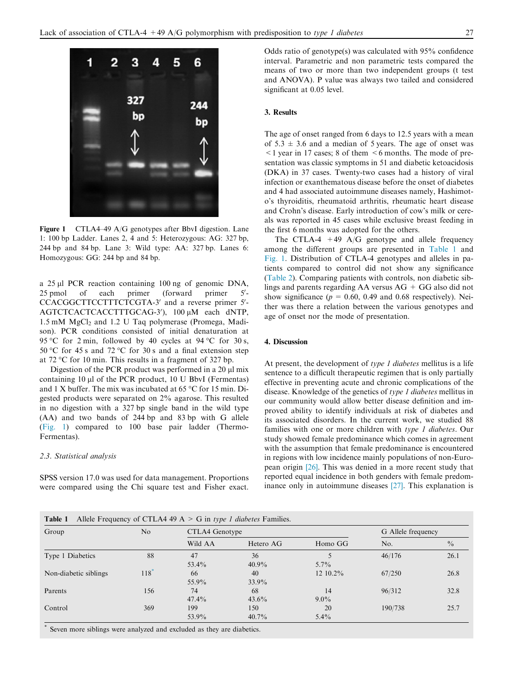

Figure 1 CTLA4–49 A/G genotypes after BbvI digestion. Lane 1: 100 bp Ladder. Lanes 2, 4 and 5: Heterozygous: AG: 327 bp, 244 bp and 84 bp. Lane 3: Wild type: AA: 327 bp. Lanes 6: Homozygous: GG: 244 bp and 84 bp.

a 25 µl PCR reaction containing 100 ng of genomic DNA, 25 pmol of each primer (forward primer  $5'$ CCACGGCTTCCTTTCTCGTA-3' and a reverse primer 5'-AGTCTCACTCACCTTTGCAG-3'), 100 µM each dNTP,  $1.5 \text{ mM } MgCl<sub>2</sub>$  and  $1.2 \text{ U } Taq$  polymerase (Promega, Madison). PCR conditions consisted of initial denaturation at 95 °C for 2 min, followed by 40 cycles at 94 °C for 30 s, 50 °C for 45 s and 72 °C for 30 s and a final extension step at 72 °C for 10 min. This results in a fragment of 327 bp.

Digestion of the PCR product was performed in a  $20 \mu$ l mix containing  $10 \mu l$  of the PCR product,  $10 \text{ U}$  BbvI (Fermentas) and 1 X buffer. The mix was incubated at 65  $\degree$ C for 15 min. Digested products were separated on 2% agarose. This resulted in no digestion with a 327 bp single band in the wild type (AA) and two bands of 244 bp and 83 bp with G allele (Fig. 1) compared to 100 base pair ladder (Thermo-Fermentas).

## 2.3. Statistical analysis

SPSS version 17.0 was used for data management. Proportions were compared using the Chi square test and Fisher exact. Odds ratio of genotype(s) was calculated with 95% confidence interval. Parametric and non parametric tests compared the means of two or more than two independent groups (t test and ANOVA). P value was always two tailed and considered significant at 0.05 level.

## 3. Results

The age of onset ranged from 6 days to 12.5 years with a mean of  $5.3 \pm 3.6$  and a median of 5 years. The age of onset was  $\leq$  1 year in 17 cases; 8 of them  $\leq$  6 months. The mode of presentation was classic symptoms in 51 and diabetic ketoacidosis (DKA) in 37 cases. Twenty-two cases had a history of viral infection or exanthematous disease before the onset of diabetes and 4 had associated autoimmune diseases namely, Hashimoto's thyroiditis, rheumatoid arthritis, rheumatic heart disease and Crohn's disease. Early introduction of cow's milk or cereals was reported in 45 cases while exclusive breast feeding in the first 6 months was adopted for the others.

The CTLA-4  $+49$  A/G genotype and allele frequency among the different groups are presented in Table 1 and Fig. 1. Distribution of CTLA-4 genotypes and alleles in patients compared to control did not show any significance [\(Table 2](#page-3-0)). Comparing patients with controls, non diabetic siblings and parents regarding AA versus AG + GG also did not show significance ( $p = 0.60, 0.49$  and 0.68 respectively). Neither was there a relation between the various genotypes and age of onset nor the mode of presentation.

#### 4. Discussion

At present, the development of type 1 diabetes mellitus is a life sentence to a difficult therapeutic regimen that is only partially effective in preventing acute and chronic complications of the disease. Knowledge of the genetics of type 1 diabetes mellitus in our community would allow better disease definition and improved ability to identify individuals at risk of diabetes and its associated disorders. In the current work, we studied 88 families with one or more children with type 1 diabetes. Our study showed female predominance which comes in agreement with the assumption that female predominance is encountered in regions with low incidence mainly populations of non-European origin [\[26\].](#page-4-0) This was denied in a more recent study that reported equal incidence in both genders with female predominance only in autoimmune diseases [\[27\].](#page-4-0) This explanation is

| <b>Table 1</b> Allele Frequency of CTLA4 49 A > G in type 1 diabetes Families. |  |  |  |  |  |
|--------------------------------------------------------------------------------|--|--|--|--|--|
|--------------------------------------------------------------------------------|--|--|--|--|--|

| Group                 | No                 | CTLA4 Genotype |           |          | G Allele frequency |               |
|-----------------------|--------------------|----------------|-----------|----------|--------------------|---------------|
|                       |                    | Wild AA        | Hetero AG | Homo GG  | No.                | $\frac{0}{0}$ |
| Type 1 Diabetics      | 88                 | 47             | 36        |          | 46/176             | 26.1          |
|                       |                    | 53.4%          | $40.9\%$  | $5.7\%$  |                    |               |
| Non-diabetic siblings | $118$ <sup>*</sup> | 66             | 40        | 12 10.2% | 67/250             | 26.8          |
|                       |                    | 55.9%          | $33.9\%$  |          |                    |               |
| Parents               | 156                | 74             | 68        | 14       | 96/312             | 32.8          |
|                       |                    | $47.4\%$       | $43.6\%$  | $9.0\%$  |                    |               |
| Control               | 369                | 199            | 150       | 20       | 190/738            | 25.7          |
|                       |                    | 53.9%          | $40.7\%$  | $5.4\%$  |                    |               |

Seven more siblings were analyzed and excluded as they are diabetics.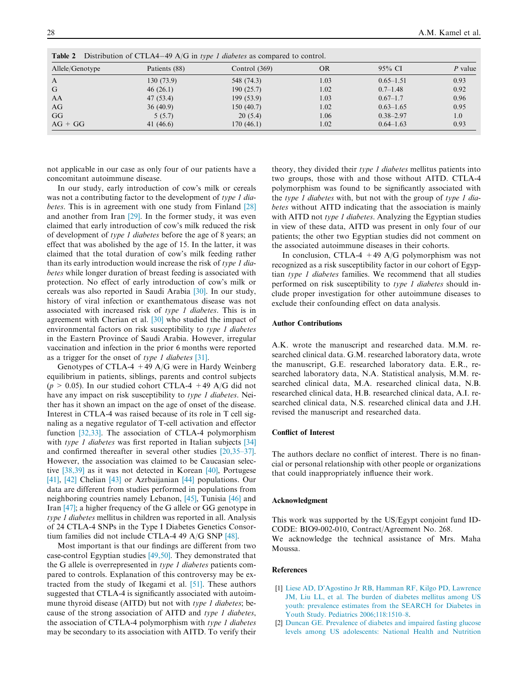| Allele/Genotype | Patients (88) | Control $(369)$ | <b>OR</b> | $95\%$ CI     | $P$ value |
|-----------------|---------------|-----------------|-----------|---------------|-----------|
| $\mathbf{A}$    | 130(73.9)     | 548 (74.3)      | 1.03      | $0.65 - 1.51$ | 0.93      |
| G               | 46(26.1)      | 190(25.7)       | 1.02      | $0.7 - 1.48$  | 0.92      |
| AA              | 47 (53.4)     | 199(53.9)       | 1.03      | $0.67 - 1.7$  | 0.96      |
| AG              | 36(40.9)      | 150(40.7)       | 1.02      | $0.63 - 1.65$ | 0.95      |
| GG              | 5(5.7)        | 20(5.4)         | 1.06      | $0.38 - 2.97$ | 1.0       |
| $AG + GG$       | 41 (46.6)     | 170(46.1)       | 1.02      | $0.64 - 1.63$ | 0.93      |

<span id="page-3-0"></span>**Table 2** Distribution of CTLA4–49 A/G in type 1 diabetes as compared to control.

not applicable in our case as only four of our patients have a concomitant autoimmune disease.

In our study, early introduction of cow's milk or cereals was not a contributing factor to the development of type 1 diabetes. This is in agreement with one study from Finland [\[28\]](#page-4-0) and another from Iran [\[29\]](#page-4-0). In the former study, it was even claimed that early introduction of cow's milk reduced the risk of development of type 1 diabetes before the age of 8 years; an effect that was abolished by the age of 15. In the latter, it was claimed that the total duration of cow's milk feeding rather than its early introduction would increase the risk of type 1 diabetes while longer duration of breast feeding is associated with protection. No effect of early introduction of cow's milk or cereals was also reported in Saudi Arabia [\[30\]](#page-4-0). In our study, history of viral infection or exanthematous disease was not associated with increased risk of type 1 diabetes. This is in agreement with Cherian et al. [\[30\]](#page-4-0) who studied the impact of environmental factors on risk susceptibility to type 1 diabetes in the Eastern Province of Saudi Arabia. However, irregular vaccination and infection in the prior 6 months were reported as a trigger for the onset of type 1 diabetes [\[31\]](#page-4-0).

Genotypes of CTLA-4  $+49$  A/G were in Hardy Weinberg equilibrium in patients, siblings, parents and control subjects  $(p > 0.05)$ . In our studied cohort CTLA-4 +49 A/G did not have any impact on risk susceptibility to *type 1 diabetes*. Neither has it shown an impact on the age of onset of the disease. Interest in CTLA-4 was raised because of its role in T cell signaling as a negative regulator of T-cell activation and effector function [\[32,33\]](#page-4-0). The association of CTLA-4 polymorphism with type 1 diabetes was first reported in Italian subjects [\[34\]](#page-4-0) and confirmed thereafter in several other studies [\[20,35–37\]](#page-4-0). However, the association was claimed to be Caucasian selective [\[38,39\]](#page-4-0) as it was not detected in Korean [\[40\]](#page-4-0), Portugese [\[41\],](#page-5-0) [\[42\]](#page-5-0) Chelian [\[43\]](#page-5-0) or Azrbaijanian [\[44\]](#page-5-0) populations. Our data are different from studies performed in populations from neighboring countries namely Lebanon, [\[45\],](#page-5-0) Tunisia [\[46\]](#page-5-0) and Iran [\[47\]](#page-5-0); a higher frequency of the G allele or GG genotype in type 1 diabetes mellitus in children was reported in all. Analysis of 24 CTLA-4 SNPs in the Type I Diabetes Genetics Consortium families did not include CTLA-4 49 A/G SNP [\[48\]](#page-5-0).

Most important is that our findings are different from two case-control Egyptian studies [\[49,50\].](#page-5-0) They demonstrated that the G allele is overrepresented in type 1 diabetes patients compared to controls. Explanation of this controversy may be extracted from the study of Ikegami et al. [\[51\]](#page-5-0). These authors suggested that CTLA-4 is significantly associated with autoimmune thyroid disease (AITD) but not with *type 1 diabetes*; because of the strong association of AITD and type 1 diabetes, the association of CTLA-4 polymorphism with type 1 diabetes may be secondary to its association with AITD. To verify their

theory, they divided their type 1 diabetes mellitus patients into two groups, those with and those without AITD. CTLA-4 polymorphism was found to be significantly associated with the type 1 diabetes with, but not with the group of type 1 diabetes without AITD indicating that the association is mainly with AITD not type 1 diabetes. Analyzing the Egyptian studies in view of these data, AITD was present in only four of our patients; the other two Egyptian studies did not comment on the associated autoimmune diseases in their cohorts.

In conclusion, CTLA-4  $+49$  A/G polymorphism was not recognized as a risk susceptibility factor in our cohort of Egyptian type 1 diabetes families. We recommend that all studies performed on risk susceptibility to type 1 diabetes should include proper investigation for other autoimmune diseases to exclude their confounding effect on data analysis.

## Author Contributions

A.K. wrote the manuscript and researched data. M.M. researched clinical data. G.M. researched laboratory data, wrote the manuscript, G.E. researched laboratory data. E.R., researched laboratory data, N.A. Statistical analysis, M.M. researched clinical data, M.A. researched clinical data, N.B. researched clinical data, H.B. researched clinical data, A.I. researched clinical data, N.S. researched clinical data and J.H. revised the manuscript and researched data.

## Conflict of Interest

The authors declare no conflict of interest. There is no financial or personal relationship with other people or organizations that could inappropriately influence their work.

#### Acknowledgment

This work was supported by the US/Egypt conjoint fund ID-CODE: BIO9-002-010, Contract/Agreement No. 268. We acknowledge the technical assistance of Mrs. Maha Moussa.

## References

- [1] [Liese AD, D'Agostino Jr RB, Hamman RF, Kilgo PD, Lawrence](http://refhub.elsevier.com/S1110-8630(13)00064-5/h0005) [JM, Liu LL, et al. The burden of diabetes mellitus among US](http://refhub.elsevier.com/S1110-8630(13)00064-5/h0005) [youth: prevalence estimates from the SEARCH for Diabetes in](http://refhub.elsevier.com/S1110-8630(13)00064-5/h0005) [Youth Study. Pediatrics 2006;118:1510–8](http://refhub.elsevier.com/S1110-8630(13)00064-5/h0005).
- [2] [Duncan GE. Prevalence of diabetes and impaired fasting glucose](http://refhub.elsevier.com/S1110-8630(13)00064-5/h0010) [levels among US adolescents: National Health and Nutrition](http://refhub.elsevier.com/S1110-8630(13)00064-5/h0010)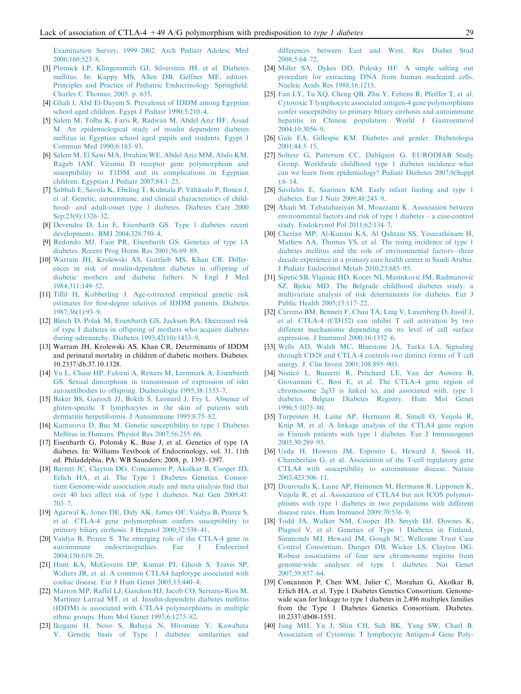<span id="page-4-0"></span>[Examination Survey, 1999–2002. Arch Pediatr Adolesc Med](http://refhub.elsevier.com/S1110-8630(13)00064-5/h0010) [2006;160:523–8.](http://refhub.elsevier.com/S1110-8630(13)00064-5/h0010)

- [3] [Plotnick LP, Klingensmith GJ, Silverstein JH, et al. Diabetes](http://refhub.elsevier.com/S1110-8630(13)00064-5/h0015) [mellitus. In: Kappy MS, Allen DB, Geffner ME, editors.](http://refhub.elsevier.com/S1110-8630(13)00064-5/h0015) [Principles and Practice of Pediatric Endocrinology. Springfield:](http://refhub.elsevier.com/S1110-8630(13)00064-5/h0015) [Charles C Thomas; 2005. p. 635](http://refhub.elsevier.com/S1110-8630(13)00064-5/h0015).
- [4] [Ghali I, Abd El-Dayem S. Prevalence of IDDM among Egyptian](http://refhub.elsevier.com/S1110-8630(13)00064-5/h0020) [school aged children. Egypt J Pediatr 1990;3:210–4](http://refhub.elsevier.com/S1110-8630(13)00064-5/h0020).
- [5] [Salem M, Tolba K, Faris R, Radwan M, Abdel Aziz HF, Assad](http://refhub.elsevier.com/S1110-8630(13)00064-5/h0025) [M. An epidemiological study of insulin dependent diabetes](http://refhub.elsevier.com/S1110-8630(13)00064-5/h0025) [mellitus in Egyptian school aged pupils and students. Egypt J](http://refhub.elsevier.com/S1110-8630(13)00064-5/h0025) [Commun Med 1990;6:183–93.](http://refhub.elsevier.com/S1110-8630(13)00064-5/h0025)
- [6] [Salem M, El Sawi MA, Ibrahim WE, Abdel Aziz MM, Abdo KM,](http://refhub.elsevier.com/S1110-8630(13)00064-5/h0030) [Ragab IAM. Vitamin D receptor gene polymorphism and](http://refhub.elsevier.com/S1110-8630(13)00064-5/h0030) [susceptibility to T1DM and its complications in Egyptian](http://refhub.elsevier.com/S1110-8630(13)00064-5/h0030) [children. Egyptian J Pediatr 2007;84:1–25](http://refhub.elsevier.com/S1110-8630(13)00064-5/h0030).
- [7] Sabbah E, Savola K, Ebeling T, Kulmala P, Vähäsalo P, Ilonen J, [et al. Genetic, autoimmune, and clinical characteristics of child](http://refhub.elsevier.com/S1110-8630(13)00064-5/h0035)[hood- and adult-onset type 1 diabetes. Diabetes Care 2000](http://refhub.elsevier.com/S1110-8630(13)00064-5/h0035) [Sep;23\(9\):1326–32.](http://refhub.elsevier.com/S1110-8630(13)00064-5/h0035)
- [8] [Devendra D, Liu E, Eisenbarth GS. Type 1 diabetes: recent](http://refhub.elsevier.com/S1110-8630(13)00064-5/h0040) [developments. BMJ 2004;328:750–4](http://refhub.elsevier.com/S1110-8630(13)00064-5/h0040).
- [9] [Redondo MJ, Fain PR, Eisenbarth GS. Genetics of type 1A](http://refhub.elsevier.com/S1110-8630(13)00064-5/h0045) [diabetes. Recent Prog Horm Res 2001;56:69–89.](http://refhub.elsevier.com/S1110-8630(13)00064-5/h0045)
- [10] [Warram JH, Krolewski AS, Gottlieb MS, Khan CR. Differ](http://refhub.elsevier.com/S1110-8630(13)00064-5/h0050)[ences in risk of insulin-dependent diabetes in offspring of](http://refhub.elsevier.com/S1110-8630(13)00064-5/h0050) [diabetic mothers and diabetic fathers. N Engl J Med](http://refhub.elsevier.com/S1110-8630(13)00064-5/h0050) [1984;311:149–52.](http://refhub.elsevier.com/S1110-8630(13)00064-5/h0050)
- [11] [Tillil H, Kobberling J. Age-corrected empirical genetic risk](http://refhub.elsevier.com/S1110-8630(13)00064-5/h0055) [estimates for first-degree relatives of IDDM patients. Diabetes](http://refhub.elsevier.com/S1110-8630(13)00064-5/h0055) [1987;36\(1\):93–9](http://refhub.elsevier.com/S1110-8630(13)00064-5/h0055).
- [12] [Bleich D, Polak M, Eisenbarth GS, Jackson RA. Decreased risk](http://refhub.elsevier.com/S1110-8630(13)00064-5/h0060) [of type I diabetes in offspring of mothers who acquire diabetes](http://refhub.elsevier.com/S1110-8630(13)00064-5/h0060) [during adrenarchy. Diabetes 1993;42\(10\):1433–9.](http://refhub.elsevier.com/S1110-8630(13)00064-5/h0060)
- [13] Warram JH, Krolewski AS, Khan CR, Determinants of IDDM and perinatal mortality in children of diabetic mothers. Diabetes. 10.2337/db.37.10.1328.
- [14] [Yu L, Chase HP, Falorni A, Rewers M, Lernmark A, Eisenbarth](http://refhub.elsevier.com/S1110-8630(13)00064-5/h0065) [GS. Sexual dimorphism in transmission of expression of islet](http://refhub.elsevier.com/S1110-8630(13)00064-5/h0065) [autoantibodies to offspring. Diabetologia 1995;38:1353–7](http://refhub.elsevier.com/S1110-8630(13)00064-5/h0065).
- [15] [Baker BS, Garioch JJ, Bokth S, Leonard J, Fry L. Absence of](http://refhub.elsevier.com/S1110-8630(13)00064-5/h0070) [gluten-specific T lymphocytes in the skin of patients with](http://refhub.elsevier.com/S1110-8630(13)00064-5/h0070) [dermatitis herpetiformis. J Autoimmune 1995;8:75–82.](http://refhub.elsevier.com/S1110-8630(13)00064-5/h0070)
- [16] [Kantarova D, Buc M. Genetic susceptibility to type 1 Diabetes](http://refhub.elsevier.com/S1110-8630(13)00064-5/h0075) [Mellitus in Humans. Physiol Res 2007;56:255–66](http://refhub.elsevier.com/S1110-8630(13)00064-5/h0075).
- [17] Eisenbarth G, Polonsky K, Buse J, et al. Genetics of type 1A diabetes. In: Williams Textbook of Endocrinology, vol. 31. 11th ed. Philadelphia, PA: WB Saunders; 2008, p. 1393–1397.
- [18] [Barrett JC, Clayton DG, Concannon P, Akolkar B, Cooper JD,](http://refhub.elsevier.com/S1110-8630(13)00064-5/h0080) [Erlich HA, et al. The Type 1 Diabetes Genetics. Consor](http://refhub.elsevier.com/S1110-8630(13)00064-5/h0080)[tium Genome-wide association study and meta-analysis find that](http://refhub.elsevier.com/S1110-8630(13)00064-5/h0080) [over 40 loci affect risk of type 1 diabetes. Nat Gen 2009;41:](http://refhub.elsevier.com/S1110-8630(13)00064-5/h0080) [703–7.](http://refhub.elsevier.com/S1110-8630(13)00064-5/h0080)
- [19] [Agarwal K, Jones DE, Daly AK, James OF, Vaidya B, Pearce S,](http://refhub.elsevier.com/S1110-8630(13)00064-5/h0085) [et al. CTLA-4 gene polymorphism confers susceptibility to](http://refhub.elsevier.com/S1110-8630(13)00064-5/h0085) [primary biliary cirrhosis. J Hepatol 2000;32:538–41](http://refhub.elsevier.com/S1110-8630(13)00064-5/h0085).
- [20] [Vaidya B, Pearce S. The emerging role of the CTLA-4 gene in](http://refhub.elsevier.com/S1110-8630(13)00064-5/h0090) [autoimmune endocrinopathies. Eur J Endocrinol](http://refhub.elsevier.com/S1110-8630(13)00064-5/h0090) [2004;150:619–26.](http://refhub.elsevier.com/S1110-8630(13)00064-5/h0090)
- [21] [Hunt KA, McGovern DP, Kumar PJ, Ghosh S, Travis SP,](http://refhub.elsevier.com/S1110-8630(13)00064-5/h0095) [Walters JR, et al. A common CTLA4 haplotype associated with](http://refhub.elsevier.com/S1110-8630(13)00064-5/h0095) [coeliac disease. Eur J Hum Genet 2005;13:440–4.](http://refhub.elsevier.com/S1110-8630(13)00064-5/h0095)
- [22] [Marron MP, Raffel LJ, Garchon HJ, Jacob CO, Serrano-Rios M,](http://refhub.elsevier.com/S1110-8630(13)00064-5/h0100) [Martinez Larrad MT, et al. Insulin-dependent diabetes mellitus](http://refhub.elsevier.com/S1110-8630(13)00064-5/h0100) [\(IDDM\) is associated with CTLA4 polymorphisms in multiple](http://refhub.elsevier.com/S1110-8630(13)00064-5/h0100) [ethnic groups. Hum Mol Genet 1997;6:1275–82.](http://refhub.elsevier.com/S1110-8630(13)00064-5/h0100)
- [23] [Ikegami H, Noso S, Babaya N, Hiromine Y, Kawabata](http://refhub.elsevier.com/S1110-8630(13)00064-5/h0105) [Y. Genetic basis of Type 1 diabetes: similarities and](http://refhub.elsevier.com/S1110-8630(13)00064-5/h0105)

[differences between East and West. Rev Diabet Stud](http://refhub.elsevier.com/S1110-8630(13)00064-5/h0105) [2008;5:64–72](http://refhub.elsevier.com/S1110-8630(13)00064-5/h0105).

- [24] [Miller SA, Dykes DD, Polesky HF. A simple salting out](http://refhub.elsevier.com/S1110-8630(13)00064-5/h0110) [procedure for extracting DNA from human nucleated cells.](http://refhub.elsevier.com/S1110-8630(13)00064-5/h0110) [Nucleic Acids Res 1988;16:1215.](http://refhub.elsevier.com/S1110-8630(13)00064-5/h0110)
- [25] [Fan LY, Tu XQ, Cheng QB, Zhu Y, Feltens R, Pfeiffer T, et al.](http://refhub.elsevier.com/S1110-8630(13)00064-5/h0115) [Cytotoxic T lymphocyte associated antigen-4 gene polymorphisms](http://refhub.elsevier.com/S1110-8630(13)00064-5/h0115) [confer susceptibility to primary biliary cirrhosis and autoimmune](http://refhub.elsevier.com/S1110-8630(13)00064-5/h0115) [hepatitis in Chinese population. World J Gastroenterol](http://refhub.elsevier.com/S1110-8630(13)00064-5/h0115) [2004;10:3056–9.](http://refhub.elsevier.com/S1110-8630(13)00064-5/h0115)
- [26] [Gale EA, Gillespie KM. Diabetes and gender. Diabetologia](http://refhub.elsevier.com/S1110-8630(13)00064-5/h0120)  $2001 \cdot 44 \cdot 3 - 15$
- [27] Soltesz G, Patterson CC, Dahlquist G, EURODIAB Study [Group. Worldwide childhood type 1 diabetes incidence–what](http://refhub.elsevier.com/S1110-8630(13)00064-5/h0125) [can we learn from epidemiology? Pediatr Diabetes 2007;8\(Suppl](http://refhub.elsevier.com/S1110-8630(13)00064-5/h0125)  $\cdot$ 6–14.
- [28] [Savilahti E, Saarinen KM. Early infant feeding and type 1](http://refhub.elsevier.com/S1110-8630(13)00064-5/h0130) [diabetes. Eur J Nutr 2009;48:243–9](http://refhub.elsevier.com/S1110-8630(13)00064-5/h0130).
- [29] [Ahadi M, Tabatabaeiyan M, Moazzami K. Association between](http://refhub.elsevier.com/S1110-8630(13)00064-5/h0135) [environmental factors and risk of type 1 diabetes – a case-control](http://refhub.elsevier.com/S1110-8630(13)00064-5/h0135) [study. Endokrynol Pol 2011;62:134–7.](http://refhub.elsevier.com/S1110-8630(13)00064-5/h0135)
- [30] [Cherian MP, Al-Kanani KA, Al Qahtani SS, Yesurathinam H,](http://refhub.elsevier.com/S1110-8630(13)00064-5/h0140) [Mathew AA, Thomas VS, et al. The rising incidence of type 1](http://refhub.elsevier.com/S1110-8630(13)00064-5/h0140) [diabetes mellitus and the role of environmental factors––three](http://refhub.elsevier.com/S1110-8630(13)00064-5/h0140) [decade experience in a primary care health center in Saudi Arabia.](http://refhub.elsevier.com/S1110-8630(13)00064-5/h0140) [J Pediatr Endocrinol Metab 2010;23:685–95](http://refhub.elsevier.com/S1110-8630(13)00064-5/h0140).
- [31] Sipetić SB, Vlajinac HD, Kocev NI, Marinković JM, Radmanović SZ, Bjekic´ [MD. The Belgrade childhood diabetes study: a](http://refhub.elsevier.com/S1110-8630(13)00064-5/h0145) [multivariate analysis of risk determinants for diabetes. Eur J](http://refhub.elsevier.com/S1110-8630(13)00064-5/h0145) [Public Health 2005;15:117–22.](http://refhub.elsevier.com/S1110-8630(13)00064-5/h0145)
- [32] [Carreno BM, Bennett F, Chau TA, Ling V, Luxenberg D, Jussif J,](http://refhub.elsevier.com/S1110-8630(13)00064-5/h0150) [et al. CTLA-4 \(CD152\) can inhibit T cell activation by two](http://refhub.elsevier.com/S1110-8630(13)00064-5/h0150) [different mechanisms depending on its level of cell surface](http://refhub.elsevier.com/S1110-8630(13)00064-5/h0150) [expression. J Immunol 2000;16:1352–6](http://refhub.elsevier.com/S1110-8630(13)00064-5/h0150).
- [33] [Wells AD, Walsh MC, Bluestone JA, Turka LA. Signaling](http://refhub.elsevier.com/S1110-8630(13)00064-5/h0155) [through CD28 and CTLA-4 controls two distinct forms of T cell](http://refhub.elsevier.com/S1110-8630(13)00064-5/h0155) [anergy. J. Clin Invest 2001;108:895–903](http://refhub.elsevier.com/S1110-8630(13)00064-5/h0155).
- [34] Nisticò [L, Buzzetti R, Pritchard LE, Van der Auwera B,](http://refhub.elsevier.com/S1110-8630(13)00064-5/h0160) [Giovannini C, Bosi E, et al. The CTLA-4 gene region of](http://refhub.elsevier.com/S1110-8630(13)00064-5/h0160) [chromosome 2q33 is linked to, and associated with, type 1](http://refhub.elsevier.com/S1110-8630(13)00064-5/h0160) [diabetes. Belgian Diabetes Registry. Hum Mol Genet](http://refhub.elsevier.com/S1110-8630(13)00064-5/h0160) [1996;5:1075–80.](http://refhub.elsevier.com/S1110-8630(13)00064-5/h0160)
- [35] [Turpeinen H, Laine AP, Hermann R, Simell O, Veijola R,](http://refhub.elsevier.com/S1110-8630(13)00064-5/h0165) [Knip M, et al. A linkage analysis of the CTLA4 gene region](http://refhub.elsevier.com/S1110-8630(13)00064-5/h0165) [in Finnish patients with type 1 diabetes. Eur J Immunogenet](http://refhub.elsevier.com/S1110-8630(13)00064-5/h0165) [2003;30:289–93.](http://refhub.elsevier.com/S1110-8630(13)00064-5/h0165)
- [36] [Ueda H, Howson JM, Esposito L, Heward J, Snook H,](http://refhub.elsevier.com/S1110-8630(13)00064-5/h0170) [Chamberlain G, et al. Association of the T-cell regulatory gene](http://refhub.elsevier.com/S1110-8630(13)00064-5/h0170) [CTLA4 with susceptibility to autoimmune disease. Nature](http://refhub.elsevier.com/S1110-8630(13)00064-5/h0170) [2003;423:506–11.](http://refhub.elsevier.com/S1110-8630(13)00064-5/h0170)
- [37] [Douroudis K, Laine AP, Heinonen M, Hermann R, Lipponen K,](http://refhub.elsevier.com/S1110-8630(13)00064-5/h0175) [Veijola R, et al. Association of CTLA4 but not ICOS polymor](http://refhub.elsevier.com/S1110-8630(13)00064-5/h0175)[phisms with type 1 diabetes in two populations with different](http://refhub.elsevier.com/S1110-8630(13)00064-5/h0175) [disease rates. Hum Immunol 2009;70:536–9.](http://refhub.elsevier.com/S1110-8630(13)00064-5/h0175)
- [38] [Todd JA, Walker NM, Cooper JD, Smyth DJ, Downes K,](http://refhub.elsevier.com/S1110-8630(13)00064-5/h0180) [Plagnol V, et al. Genetics of Type 1 Diabetes in Finland,](http://refhub.elsevier.com/S1110-8630(13)00064-5/h0180) [Simmonds MJ, Heward JM, Gough SC; Wellcome Trust Case](http://refhub.elsevier.com/S1110-8630(13)00064-5/h0180) [Control Consortium, Dunger DB, Wicker LS, Clayton DG.](http://refhub.elsevier.com/S1110-8630(13)00064-5/h0180) [Robust associations of four new chromosome regions from](http://refhub.elsevier.com/S1110-8630(13)00064-5/h0180) [genome-wide analyses of type 1 diabetes. Nat Genet](http://refhub.elsevier.com/S1110-8630(13)00064-5/h0180) [2007;39:857–64.](http://refhub.elsevier.com/S1110-8630(13)00064-5/h0180)
- [39] Concannon P, Chen WM, Julier C, Morahan G, Akolkar B, Erlich HA, et al. Type 1 Diabetes Genetics Consortium. Genomewide scan for linkage to type 1 diabetes in 2,496 multiplex families from the Type 1 Diabetes Genetics Consortium. Diabetes. 10.2337/db08-1551.
- [40] [Jung MH, Yu J, Shin CH, Suh BK, Yang SW, Churl B.](http://refhub.elsevier.com/S1110-8630(13)00064-5/h0185) [Association of Cytotoxic T lymphocyte Antigen-4 Gene Poly-](http://refhub.elsevier.com/S1110-8630(13)00064-5/h0185)